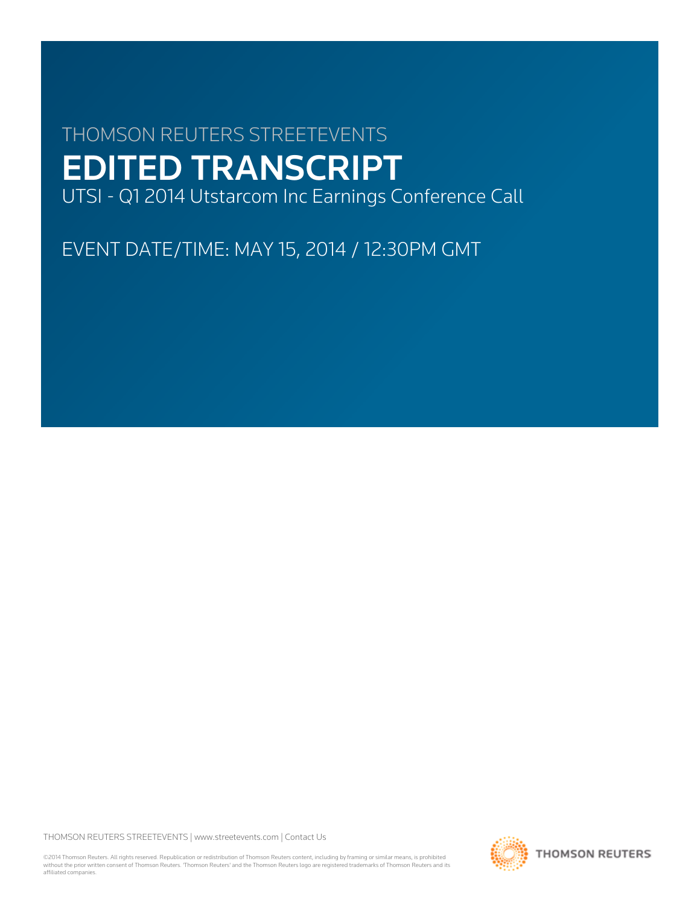# THOMSON REUTERS STREETEVENTS EDITED TRANSCRIPT

UTSI - Q1 2014 Utstarcom Inc Earnings Conference Call

EVENT DATE/TIME: MAY 15, 2014 / 12:30PM GMT

THOMSON REUTERS STREETEVENTS | [www.streetevents.com](http://www.streetevents.com) | [Contact Us](http://www010.streetevents.com/contact.asp)

©2014 Thomson Reuters. All rights reserved. Republication or redistribution of Thomson Reuters content, including by framing or similar means, is prohibited without the prior written consent of Thomson Reuters. 'Thomson Reuters' and the Thomson Reuters logo are registered trademarks of Thomson Reuters and its affiliated companies.

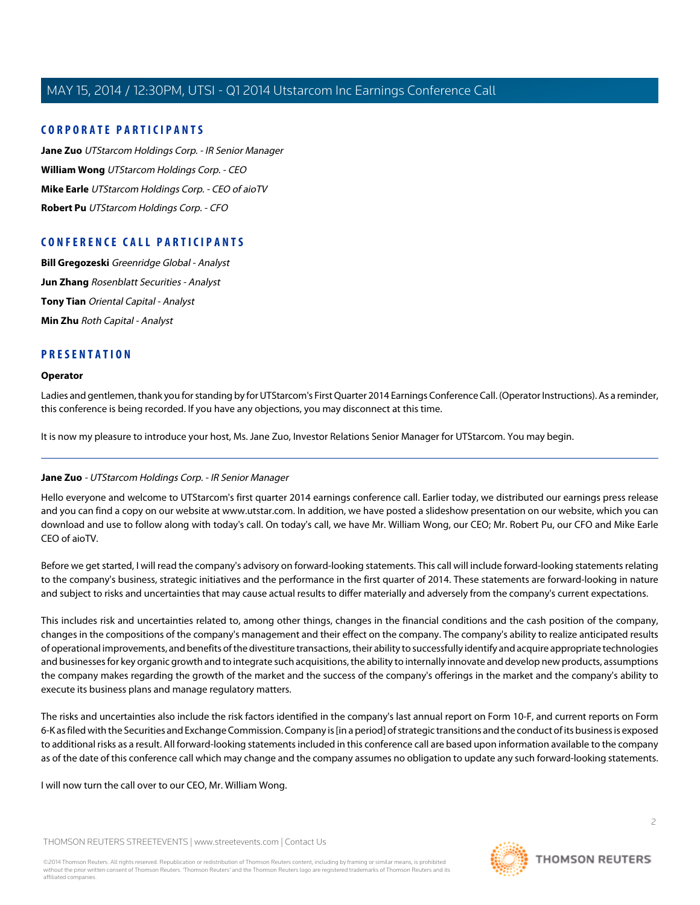# **CORPORATE PARTICIPANTS**

**[Jane Zuo](#page-1-0)** UTStarcom Holdings Corp. - IR Senior Manager **[William Wong](#page-2-0)** UTStarcom Holdings Corp. - CEO **[Mike Earle](#page-4-0)** UTStarcom Holdings Corp. - CEO of aioTV **[Robert Pu](#page-5-0)** UTStarcom Holdings Corp. - CFO

# **CONFERENCE CALL PARTICIPANTS**

**[Bill Gregozeski](#page-7-0)** Greenridge Global - Analyst **[Jun Zhang](#page-8-0)** Rosenblatt Securities - Analyst **[Tony Tian](#page-10-0)** Oriental Capital - Analyst **[Min Zhu](#page-12-0)** Roth Capital - Analyst

# **PRESENTATION**

#### **Operator**

Ladies and gentlemen, thank you for standing by for UTStarcom's First Quarter 2014 Earnings Conference Call. (Operator Instructions). As a reminder, this conference is being recorded. If you have any objections, you may disconnect at this time.

<span id="page-1-0"></span>It is now my pleasure to introduce your host, Ms. Jane Zuo, Investor Relations Senior Manager for UTStarcom. You may begin.

# **Jane Zuo** - UTStarcom Holdings Corp. - IR Senior Manager

Hello everyone and welcome to UTStarcom's first quarter 2014 earnings conference call. Earlier today, we distributed our earnings press release and you can find a copy on our website at www.utstar.com. In addition, we have posted a slideshow presentation on our website, which you can download and use to follow along with today's call. On today's call, we have Mr. William Wong, our CEO; Mr. Robert Pu, our CFO and Mike Earle CEO of aioTV.

Before we get started, I will read the company's advisory on forward-looking statements. This call will include forward-looking statements relating to the company's business, strategic initiatives and the performance in the first quarter of 2014. These statements are forward-looking in nature and subject to risks and uncertainties that may cause actual results to differ materially and adversely from the company's current expectations.

This includes risk and uncertainties related to, among other things, changes in the financial conditions and the cash position of the company, changes in the compositions of the company's management and their effect on the company. The company's ability to realize anticipated results of operational improvements, and benefits of the divestiture transactions, their ability to successfully identify and acquire appropriate technologies and businesses for key organic growth and to integrate such acquisitions, the ability to internally innovate and develop new products, assumptions the company makes regarding the growth of the market and the success of the company's offerings in the market and the company's ability to execute its business plans and manage regulatory matters.

The risks and uncertainties also include the risk factors identified in the company's last annual report on Form 10-F, and current reports on Form 6-K as filed with the Securities and Exchange Commission. Company is [in a period] of strategic transitions and the conduct of its business is exposed to additional risks as a result. All forward-looking statements included in this conference call are based upon information available to the company as of the date of this conference call which may change and the company assumes no obligation to update any such forward-looking statements.

I will now turn the call over to our CEO, Mr. William Wong.

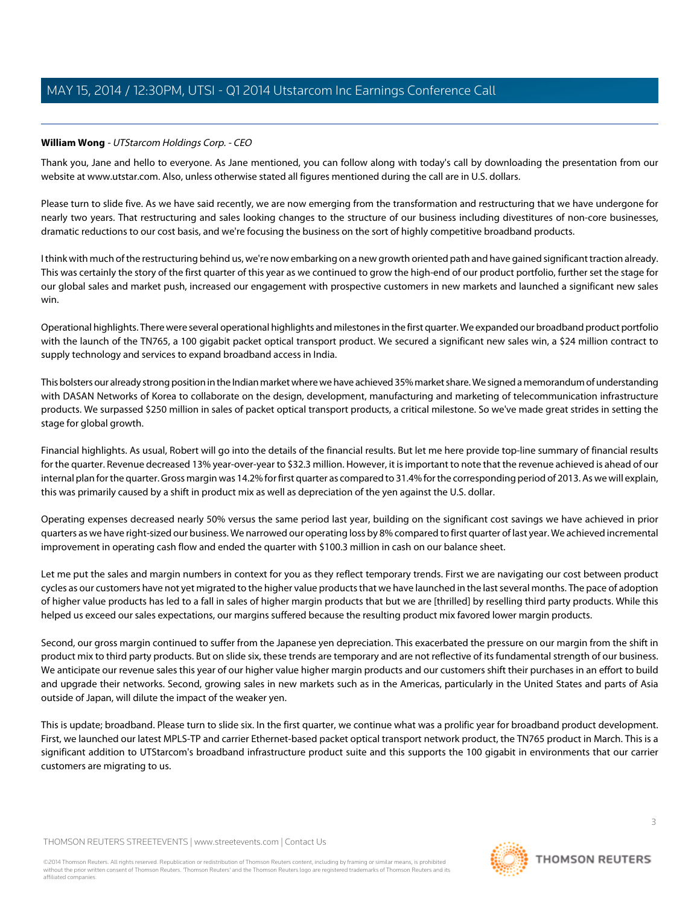# <span id="page-2-0"></span>**William Wong** - UTStarcom Holdings Corp. - CEO

Thank you, Jane and hello to everyone. As Jane mentioned, you can follow along with today's call by downloading the presentation from our website at www.utstar.com. Also, unless otherwise stated all figures mentioned during the call are in U.S. dollars.

Please turn to slide five. As we have said recently, we are now emerging from the transformation and restructuring that we have undergone for nearly two years. That restructuring and sales looking changes to the structure of our business including divestitures of non-core businesses, dramatic reductions to our cost basis, and we're focusing the business on the sort of highly competitive broadband products.

I think with much of the restructuring behind us, we're now embarking on a new growth oriented path and have gained significant traction already. This was certainly the story of the first quarter of this year as we continued to grow the high-end of our product portfolio, further set the stage for our global sales and market push, increased our engagement with prospective customers in new markets and launched a significant new sales win.

Operational highlights. There were several operational highlights and milestones in the first quarter. We expanded our broadband product portfolio with the launch of the TN765, a 100 gigabit packet optical transport product. We secured a significant new sales win, a \$24 million contract to supply technology and services to expand broadband access in India.

This bolsters our already strong position in the Indian market where we have achieved 35% market share. We signed a memorandum of understanding with DASAN Networks of Korea to collaborate on the design, development, manufacturing and marketing of telecommunication infrastructure products. We surpassed \$250 million in sales of packet optical transport products, a critical milestone. So we've made great strides in setting the stage for global growth.

Financial highlights. As usual, Robert will go into the details of the financial results. But let me here provide top-line summary of financial results for the quarter. Revenue decreased 13% year-over-year to \$32.3 million. However, it is important to note that the revenue achieved is ahead of our internal plan for the quarter. Gross margin was 14.2% for first quarter as compared to 31.4% for the corresponding period of 2013. As we will explain, this was primarily caused by a shift in product mix as well as depreciation of the yen against the U.S. dollar.

Operating expenses decreased nearly 50% versus the same period last year, building on the significant cost savings we have achieved in prior quarters as we have right-sized our business. We narrowed our operating loss by 8% compared to first quarter of last year. We achieved incremental improvement in operating cash flow and ended the quarter with \$100.3 million in cash on our balance sheet.

Let me put the sales and margin numbers in context for you as they reflect temporary trends. First we are navigating our cost between product cycles as our customers have not yet migrated to the higher value products that we have launched in the last several months. The pace of adoption of higher value products has led to a fall in sales of higher margin products that but we are [thrilled] by reselling third party products. While this helped us exceed our sales expectations, our margins suffered because the resulting product mix favored lower margin products.

Second, our gross margin continued to suffer from the Japanese yen depreciation. This exacerbated the pressure on our margin from the shift in product mix to third party products. But on slide six, these trends are temporary and are not reflective of its fundamental strength of our business. We anticipate our revenue sales this year of our higher value higher margin products and our customers shift their purchases in an effort to build and upgrade their networks. Second, growing sales in new markets such as in the Americas, particularly in the United States and parts of Asia outside of Japan, will dilute the impact of the weaker yen.

This is update; broadband. Please turn to slide six. In the first quarter, we continue what was a prolific year for broadband product development. First, we launched our latest MPLS-TP and carrier Ethernet-based packet optical transport network product, the TN765 product in March. This is a significant addition to UTStarcom's broadband infrastructure product suite and this supports the 100 gigabit in environments that our carrier customers are migrating to us.

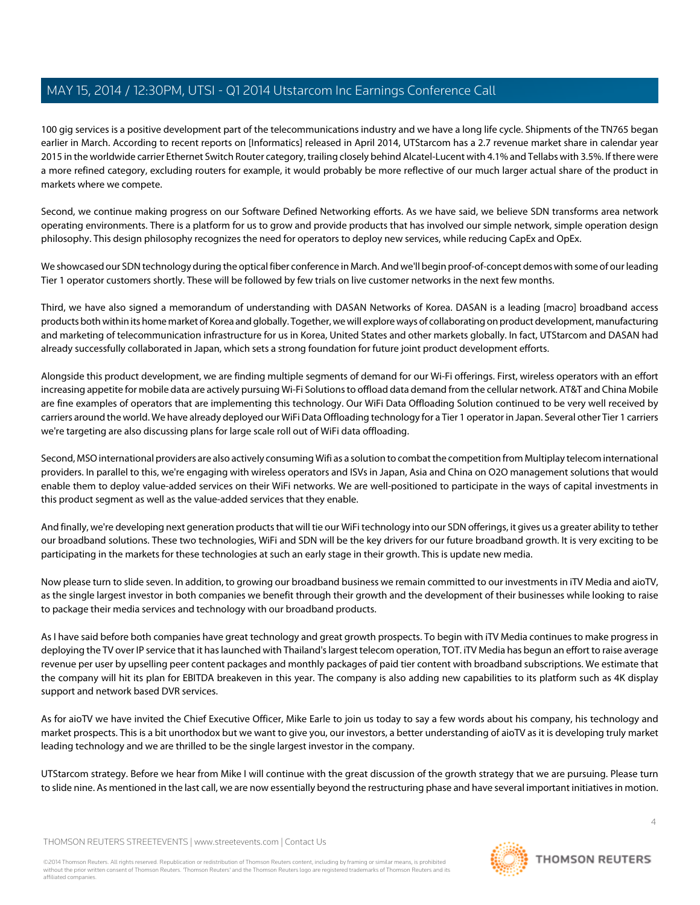100 gig services is a positive development part of the telecommunications industry and we have a long life cycle. Shipments of the TN765 began earlier in March. According to recent reports on [Informatics] released in April 2014, UTStarcom has a 2.7 revenue market share in calendar year 2015 in the worldwide carrier Ethernet Switch Router category, trailing closely behind Alcatel-Lucent with 4.1% and Tellabs with 3.5%. If there were a more refined category, excluding routers for example, it would probably be more reflective of our much larger actual share of the product in markets where we compete.

Second, we continue making progress on our Software Defined Networking efforts. As we have said, we believe SDN transforms area network operating environments. There is a platform for us to grow and provide products that has involved our simple network, simple operation design philosophy. This design philosophy recognizes the need for operators to deploy new services, while reducing CapEx and OpEx.

We showcased our SDN technology during the optical fiber conference in March. And we'll begin proof-of-concept demos with some of our leading Tier 1 operator customers shortly. These will be followed by few trials on live customer networks in the next few months.

Third, we have also signed a memorandum of understanding with DASAN Networks of Korea. DASAN is a leading [macro] broadband access products both within its home market of Korea and globally. Together, we will explore ways of collaborating on product development, manufacturing and marketing of telecommunication infrastructure for us in Korea, United States and other markets globally. In fact, UTStarcom and DASAN had already successfully collaborated in Japan, which sets a strong foundation for future joint product development efforts.

Alongside this product development, we are finding multiple segments of demand for our Wi-Fi offerings. First, wireless operators with an effort increasing appetite for mobile data are actively pursuing Wi-Fi Solutions to offload data demand from the cellular network. AT&T and China Mobile are fine examples of operators that are implementing this technology. Our WiFi Data Offloading Solution continued to be very well received by carriers around the world. We have already deployed our WiFi Data Offloading technology for a Tier 1 operator in Japan. Several other Tier 1 carriers we're targeting are also discussing plans for large scale roll out of WiFi data offloading.

Second, MSO international providers are also actively consuming Wifi as a solution to combat the competition from Multiplay telecom international providers. In parallel to this, we're engaging with wireless operators and ISVs in Japan, Asia and China on O2O management solutions that would enable them to deploy value-added services on their WiFi networks. We are well-positioned to participate in the ways of capital investments in this product segment as well as the value-added services that they enable.

And finally, we're developing next generation products that will tie our WiFi technology into our SDN offerings, it gives us a greater ability to tether our broadband solutions. These two technologies, WiFi and SDN will be the key drivers for our future broadband growth. It is very exciting to be participating in the markets for these technologies at such an early stage in their growth. This is update new media.

Now please turn to slide seven. In addition, to growing our broadband business we remain committed to our investments in iTV Media and aioTV, as the single largest investor in both companies we benefit through their growth and the development of their businesses while looking to raise to package their media services and technology with our broadband products.

As I have said before both companies have great technology and great growth prospects. To begin with iTV Media continues to make progress in deploying the TV over IP service that it has launched with Thailand's largest telecom operation, TOT. iTV Media has begun an effort to raise average revenue per user by upselling peer content packages and monthly packages of paid tier content with broadband subscriptions. We estimate that the company will hit its plan for EBITDA breakeven in this year. The company is also adding new capabilities to its platform such as 4K display support and network based DVR services.

As for aioTV we have invited the Chief Executive Officer, Mike Earle to join us today to say a few words about his company, his technology and market prospects. This is a bit unorthodox but we want to give you, our investors, a better understanding of aioTV as it is developing truly market leading technology and we are thrilled to be the single largest investor in the company.

UTStarcom strategy. Before we hear from Mike I will continue with the great discussion of the growth strategy that we are pursuing. Please turn to slide nine. As mentioned in the last call, we are now essentially beyond the restructuring phase and have several important initiatives in motion.

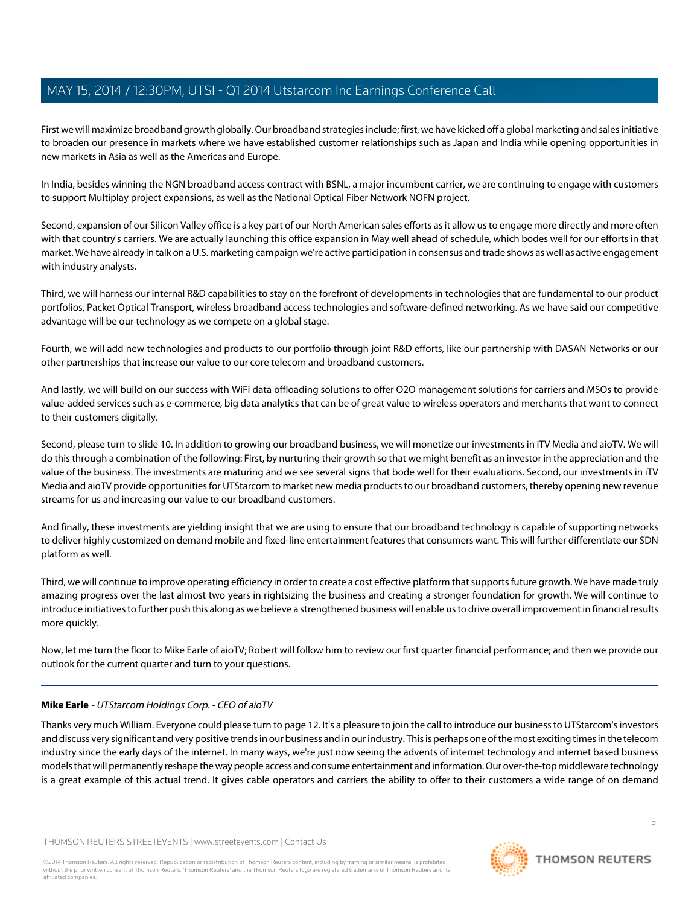First we will maximize broadband growth globally. Our broadband strategies include; first, we have kicked off a global marketing and sales initiative to broaden our presence in markets where we have established customer relationships such as Japan and India while opening opportunities in new markets in Asia as well as the Americas and Europe.

In India, besides winning the NGN broadband access contract with BSNL, a major incumbent carrier, we are continuing to engage with customers to support Multiplay project expansions, as well as the National Optical Fiber Network NOFN project.

Second, expansion of our Silicon Valley office is a key part of our North American sales efforts as it allow us to engage more directly and more often with that country's carriers. We are actually launching this office expansion in May well ahead of schedule, which bodes well for our efforts in that market. We have already in talk on a U.S. marketing campaign we're active participation in consensus and trade shows as well as active engagement with industry analysts.

Third, we will harness our internal R&D capabilities to stay on the forefront of developments in technologies that are fundamental to our product portfolios, Packet Optical Transport, wireless broadband access technologies and software-defined networking. As we have said our competitive advantage will be our technology as we compete on a global stage.

Fourth, we will add new technologies and products to our portfolio through joint R&D efforts, like our partnership with DASAN Networks or our other partnerships that increase our value to our core telecom and broadband customers.

And lastly, we will build on our success with WiFi data offloading solutions to offer O2O management solutions for carriers and MSOs to provide value-added services such as e-commerce, big data analytics that can be of great value to wireless operators and merchants that want to connect to their customers digitally.

Second, please turn to slide 10. In addition to growing our broadband business, we will monetize our investments in iTV Media and aioTV. We will do this through a combination of the following: First, by nurturing their growth so that we might benefit as an investor in the appreciation and the value of the business. The investments are maturing and we see several signs that bode well for their evaluations. Second, our investments in iTV Media and aioTV provide opportunities for UTStarcom to market new media products to our broadband customers, thereby opening new revenue streams for us and increasing our value to our broadband customers.

And finally, these investments are yielding insight that we are using to ensure that our broadband technology is capable of supporting networks to deliver highly customized on demand mobile and fixed-line entertainment features that consumers want. This will further differentiate our SDN platform as well.

Third, we will continue to improve operating efficiency in order to create a cost effective platform that supports future growth. We have made truly amazing progress over the last almost two years in rightsizing the business and creating a stronger foundation for growth. We will continue to introduce initiatives to further push this along as we believe a strengthened business will enable us to drive overall improvement in financial results more quickly.

<span id="page-4-0"></span>Now, let me turn the floor to Mike Earle of aioTV; Robert will follow him to review our first quarter financial performance; and then we provide our outlook for the current quarter and turn to your questions.

# **Mike Earle** - UTStarcom Holdings Corp. - CEO of aioTV

Thanks very much William. Everyone could please turn to page 12. It's a pleasure to join the call to introduce our business to UTStarcom's investors and discuss very significant and very positive trends in our business and in our industry. This is perhaps one of the most exciting times in the telecom industry since the early days of the internet. In many ways, we're just now seeing the advents of internet technology and internet based business models that will permanently reshape the way people access and consume entertainment and information. Our over-the-top middleware technology is a great example of this actual trend. It gives cable operators and carriers the ability to offer to their customers a wide range of on demand

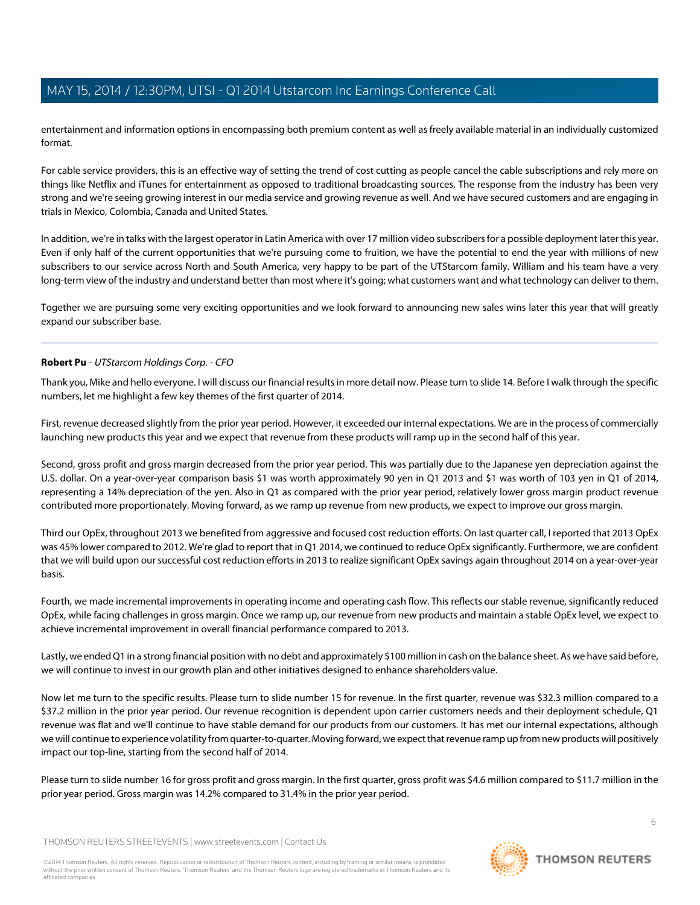entertainment and information options in encompassing both premium content as well as freely available material in an individually customized format.

For cable service providers, this is an effective way of setting the trend of cost cutting as people cancel the cable subscriptions and rely more on things like Netflix and iTunes for entertainment as opposed to traditional broadcasting sources. The response from the industry has been very strong and we're seeing growing interest in our media service and growing revenue as well. And we have secured customers and are engaging in trials in Mexico, Colombia, Canada and United States.

In addition, we're in talks with the largest operator in Latin America with over 17 million video subscribers for a possible deployment later this year. Even if only half of the current opportunities that we're pursuing come to fruition, we have the potential to end the year with millions of new subscribers to our service across North and South America, very happy to be part of the UTStarcom family. William and his team have a very long-term view of the industry and understand better than most where it's going; what customers want and what technology can deliver to them.

<span id="page-5-0"></span>Together we are pursuing some very exciting opportunities and we look forward to announcing new sales wins later this year that will greatly expand our subscriber base.

## **Robert Pu** - UTStarcom Holdings Corp. - CFO

Thank you, Mike and hello everyone. I will discuss our financial results in more detail now. Please turn to slide 14. Before I walk through the specific numbers, let me highlight a few key themes of the first quarter of 2014.

First, revenue decreased slightly from the prior year period. However, it exceeded our internal expectations. We are in the process of commercially launching new products this year and we expect that revenue from these products will ramp up in the second half of this year.

Second, gross profit and gross margin decreased from the prior year period. This was partially due to the Japanese yen depreciation against the U.S. dollar. On a year-over-year comparison basis \$1 was worth approximately 90 yen in Q1 2013 and \$1 was worth of 103 yen in Q1 of 2014, representing a 14% depreciation of the yen. Also in Q1 as compared with the prior year period, relatively lower gross margin product revenue contributed more proportionately. Moving forward, as we ramp up revenue from new products, we expect to improve our gross margin.

Third our OpEx, throughout 2013 we benefited from aggressive and focused cost reduction efforts. On last quarter call, I reported that 2013 OpEx was 45% lower compared to 2012. We're glad to report that in Q1 2014, we continued to reduce OpEx significantly. Furthermore, we are confident that we will build upon our successful cost reduction efforts in 2013 to realize significant OpEx savings again throughout 2014 on a year-over-year basis.

Fourth, we made incremental improvements in operating income and operating cash flow. This reflects our stable revenue, significantly reduced OpEx, while facing challenges in gross margin. Once we ramp up, our revenue from new products and maintain a stable OpEx level, we expect to achieve incremental improvement in overall financial performance compared to 2013.

Lastly, we ended Q1 in a strong financial position with no debt and approximately \$100 million in cash on the balance sheet. As we have said before, we will continue to invest in our growth plan and other initiatives designed to enhance shareholders value.

Now let me turn to the specific results. Please turn to slide number 15 for revenue. In the first quarter, revenue was \$32.3 million compared to a \$37.2 million in the prior year period. Our revenue recognition is dependent upon carrier customers needs and their deployment schedule, Q1 revenue was flat and we'll continue to have stable demand for our products from our customers. It has met our internal expectations, although we will continue to experience volatility from quarter-to-quarter. Moving forward, we expect that revenue ramp up from new products will positively impact our top-line, starting from the second half of 2014.

Please turn to slide number 16 for gross profit and gross margin. In the first quarter, gross profit was \$4.6 million compared to \$11.7 million in the prior year period. Gross margin was 14.2% compared to 31.4% in the prior year period.

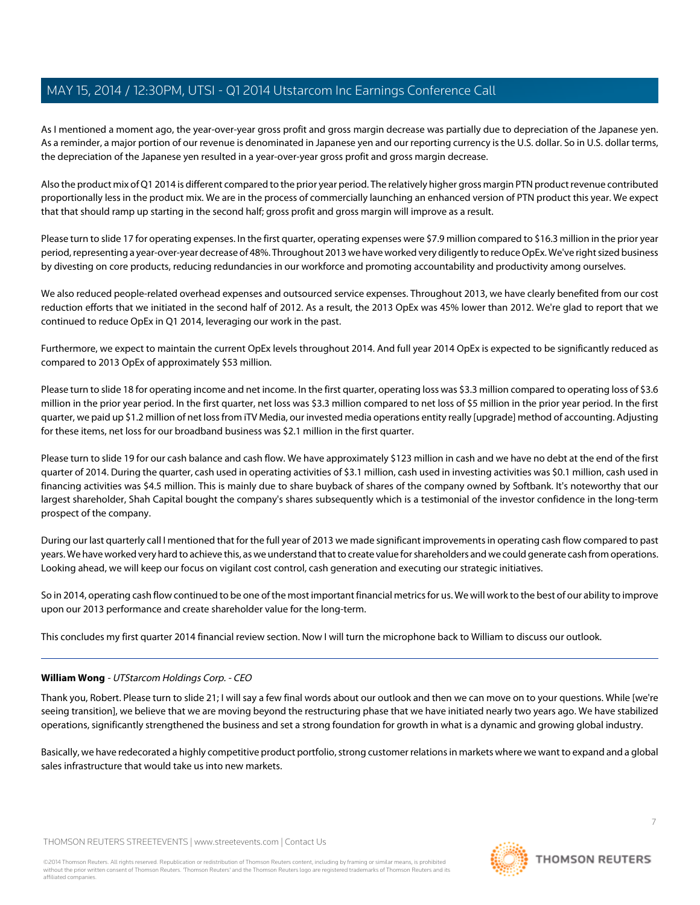As I mentioned a moment ago, the year-over-year gross profit and gross margin decrease was partially due to depreciation of the Japanese yen. As a reminder, a major portion of our revenue is denominated in Japanese yen and our reporting currency is the U.S. dollar. So in U.S. dollar terms, the depreciation of the Japanese yen resulted in a year-over-year gross profit and gross margin decrease.

Also the product mix of Q1 2014 is different compared to the prior year period. The relatively higher gross margin PTN product revenue contributed proportionally less in the product mix. We are in the process of commercially launching an enhanced version of PTN product this year. We expect that that should ramp up starting in the second half; gross profit and gross margin will improve as a result.

Please turn to slide 17 for operating expenses. In the first quarter, operating expenses were \$7.9 million compared to \$16.3 million in the prior year period, representing a year-over-year decrease of 48%. Throughout 2013 we have worked very diligently to reduce OpEx. We've right sized business by divesting on core products, reducing redundancies in our workforce and promoting accountability and productivity among ourselves.

We also reduced people-related overhead expenses and outsourced service expenses. Throughout 2013, we have clearly benefited from our cost reduction efforts that we initiated in the second half of 2012. As a result, the 2013 OpEx was 45% lower than 2012. We're glad to report that we continued to reduce OpEx in Q1 2014, leveraging our work in the past.

Furthermore, we expect to maintain the current OpEx levels throughout 2014. And full year 2014 OpEx is expected to be significantly reduced as compared to 2013 OpEx of approximately \$53 million.

Please turn to slide 18 for operating income and net income. In the first quarter, operating loss was \$3.3 million compared to operating loss of \$3.6 million in the prior year period. In the first quarter, net loss was \$3.3 million compared to net loss of \$5 million in the prior year period. In the first quarter, we paid up \$1.2 million of net loss from iTV Media, our invested media operations entity really [upgrade] method of accounting. Adjusting for these items, net loss for our broadband business was \$2.1 million in the first quarter.

Please turn to slide 19 for our cash balance and cash flow. We have approximately \$123 million in cash and we have no debt at the end of the first quarter of 2014. During the quarter, cash used in operating activities of \$3.1 million, cash used in investing activities was \$0.1 million, cash used in financing activities was \$4.5 million. This is mainly due to share buyback of shares of the company owned by Softbank. It's noteworthy that our largest shareholder, Shah Capital bought the company's shares subsequently which is a testimonial of the investor confidence in the long-term prospect of the company.

During our last quarterly call I mentioned that for the full year of 2013 we made significant improvements in operating cash flow compared to past years. We have worked very hard to achieve this, as we understand that to create value for shareholders and we could generate cash from operations. Looking ahead, we will keep our focus on vigilant cost control, cash generation and executing our strategic initiatives.

So in 2014, operating cash flow continued to be one of the most important financial metrics for us. We will work to the best of our ability to improve upon our 2013 performance and create shareholder value for the long-term.

This concludes my first quarter 2014 financial review section. Now I will turn the microphone back to William to discuss our outlook.

# **William Wong** - UTStarcom Holdings Corp. - CEO

Thank you, Robert. Please turn to slide 21; I will say a few final words about our outlook and then we can move on to your questions. While [we're seeing transition], we believe that we are moving beyond the restructuring phase that we have initiated nearly two years ago. We have stabilized operations, significantly strengthened the business and set a strong foundation for growth in what is a dynamic and growing global industry.

Basically, we have redecorated a highly competitive product portfolio, strong customer relations in markets where we want to expand and a global sales infrastructure that would take us into new markets.

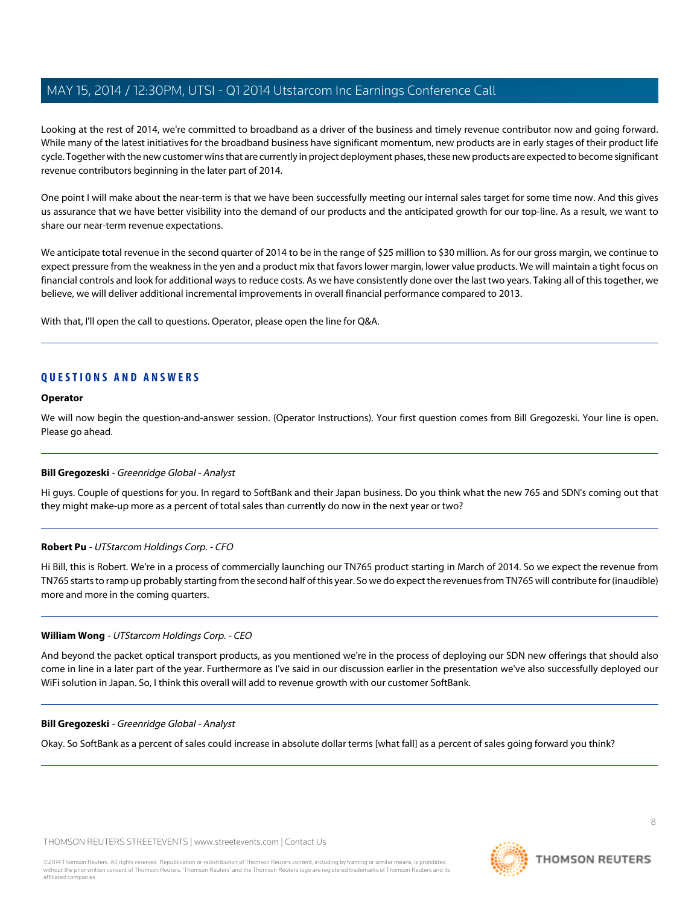Looking at the rest of 2014, we're committed to broadband as a driver of the business and timely revenue contributor now and going forward. While many of the latest initiatives for the broadband business have significant momentum, new products are in early stages of their product life cycle. Together with the new customer wins that are currently in project deployment phases, these new products are expected to become significant revenue contributors beginning in the later part of 2014.

One point I will make about the near-term is that we have been successfully meeting our internal sales target for some time now. And this gives us assurance that we have better visibility into the demand of our products and the anticipated growth for our top-line. As a result, we want to share our near-term revenue expectations.

We anticipate total revenue in the second quarter of 2014 to be in the range of \$25 million to \$30 million. As for our gross margin, we continue to expect pressure from the weakness in the yen and a product mix that favors lower margin, lower value products. We will maintain a tight focus on financial controls and look for additional ways to reduce costs. As we have consistently done over the last two years. Taking all of this together, we believe, we will deliver additional incremental improvements in overall financial performance compared to 2013.

With that, I'll open the call to questions. Operator, please open the line for Q&A.

# **QUESTIONS AND ANSWERS**

#### **Operator**

<span id="page-7-0"></span>We will now begin the question-and-answer session. (Operator Instructions). Your first question comes from Bill Gregozeski. Your line is open. Please go ahead.

# **Bill Gregozeski** - Greenridge Global - Analyst

Hi guys. Couple of questions for you. In regard to SoftBank and their Japan business. Do you think what the new 765 and SDN's coming out that they might make-up more as a percent of total sales than currently do now in the next year or two?

# **Robert Pu** - UTStarcom Holdings Corp. - CFO

Hi Bill, this is Robert. We're in a process of commercially launching our TN765 product starting in March of 2014. So we expect the revenue from TN765 starts to ramp up probably starting from the second half of this year. So we do expect the revenues from TN765 will contribute for (inaudible) more and more in the coming quarters.

# **William Wong** - UTStarcom Holdings Corp. - CEO

And beyond the packet optical transport products, as you mentioned we're in the process of deploying our SDN new offerings that should also come in line in a later part of the year. Furthermore as I've said in our discussion earlier in the presentation we've also successfully deployed our WiFi solution in Japan. So, I think this overall will add to revenue growth with our customer SoftBank.

# **Bill Gregozeski** - Greenridge Global - Analyst

Okay. So SoftBank as a percent of sales could increase in absolute dollar terms [what fall] as a percent of sales going forward you think?

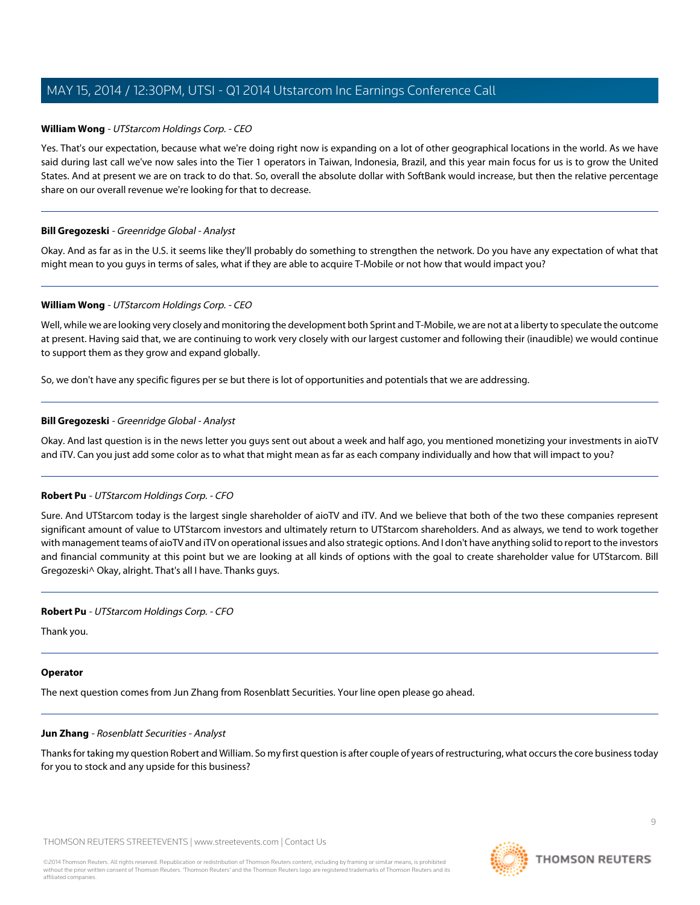## **William Wong** - UTStarcom Holdings Corp. - CEO

Yes. That's our expectation, because what we're doing right now is expanding on a lot of other geographical locations in the world. As we have said during last call we've now sales into the Tier 1 operators in Taiwan, Indonesia, Brazil, and this year main focus for us is to grow the United States. And at present we are on track to do that. So, overall the absolute dollar with SoftBank would increase, but then the relative percentage share on our overall revenue we're looking for that to decrease.

#### **Bill Gregozeski** - Greenridge Global - Analyst

Okay. And as far as in the U.S. it seems like they'll probably do something to strengthen the network. Do you have any expectation of what that might mean to you guys in terms of sales, what if they are able to acquire T-Mobile or not how that would impact you?

#### **William Wong** - UTStarcom Holdings Corp. - CEO

Well, while we are looking very closely and monitoring the development both Sprint and T-Mobile, we are not at a liberty to speculate the outcome at present. Having said that, we are continuing to work very closely with our largest customer and following their (inaudible) we would continue to support them as they grow and expand globally.

So, we don't have any specific figures per se but there is lot of opportunities and potentials that we are addressing.

## **Bill Gregozeski** - Greenridge Global - Analyst

Okay. And last question is in the news letter you guys sent out about a week and half ago, you mentioned monetizing your investments in aioTV and iTV. Can you just add some color as to what that might mean as far as each company individually and how that will impact to you?

# **Robert Pu** - UTStarcom Holdings Corp. - CFO

Sure. And UTStarcom today is the largest single shareholder of aioTV and iTV. And we believe that both of the two these companies represent significant amount of value to UTStarcom investors and ultimately return to UTStarcom shareholders. And as always, we tend to work together with management teams of aioTV and iTV on operational issues and also strategic options. And I don't have anything solid to report to the investors and financial community at this point but we are looking at all kinds of options with the goal to create shareholder value for UTStarcom. Bill Gregozeski^ Okay, alright. That's all I have. Thanks guys.

#### **Robert Pu** - UTStarcom Holdings Corp. - CFO

Thank you.

#### <span id="page-8-0"></span>**Operator**

The next question comes from Jun Zhang from Rosenblatt Securities. Your line open please go ahead.

#### **Jun Zhang** - Rosenblatt Securities - Analyst

Thanks for taking my question Robert and William. So my first question is after couple of years of restructuring, what occurs the core business today for you to stock and any upside for this business?

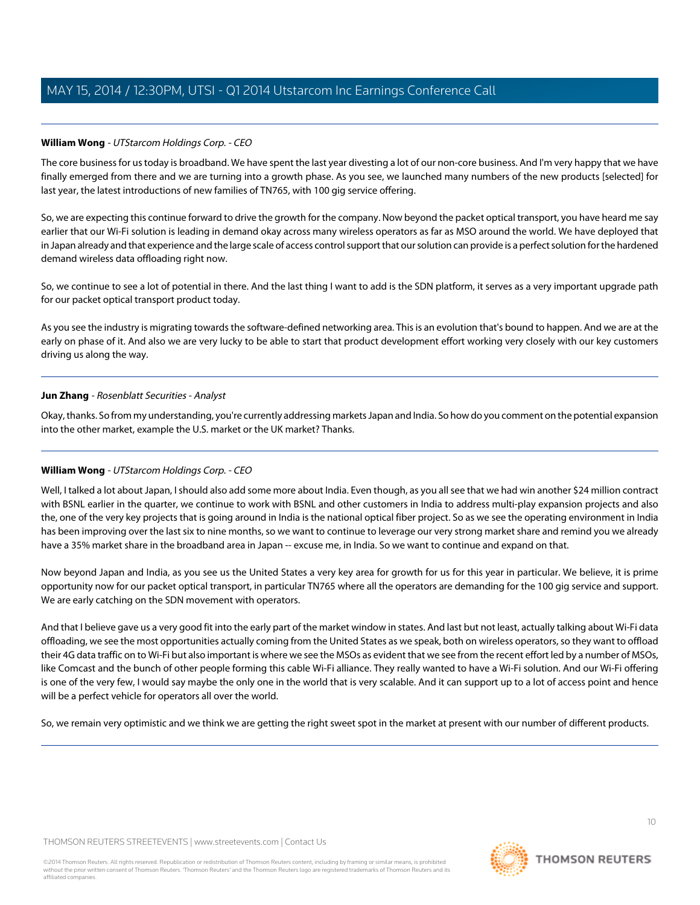# **William Wong** - UTStarcom Holdings Corp. - CEO

The core business for us today is broadband. We have spent the last year divesting a lot of our non-core business. And I'm very happy that we have finally emerged from there and we are turning into a growth phase. As you see, we launched many numbers of the new products [selected] for last year, the latest introductions of new families of TN765, with 100 gig service offering.

So, we are expecting this continue forward to drive the growth for the company. Now beyond the packet optical transport, you have heard me say earlier that our Wi-Fi solution is leading in demand okay across many wireless operators as far as MSO around the world. We have deployed that in Japan already and that experience and the large scale of access control support that our solution can provide is a perfect solution for the hardened demand wireless data offloading right now.

So, we continue to see a lot of potential in there. And the last thing I want to add is the SDN platform, it serves as a very important upgrade path for our packet optical transport product today.

As you see the industry is migrating towards the software-defined networking area. This is an evolution that's bound to happen. And we are at the early on phase of it. And also we are very lucky to be able to start that product development effort working very closely with our key customers driving us along the way.

# **Jun Zhang** - Rosenblatt Securities - Analyst

Okay, thanks. So from my understanding, you're currently addressing markets Japan and India. So how do you comment on the potential expansion into the other market, example the U.S. market or the UK market? Thanks.

# **William Wong** - UTStarcom Holdings Corp. - CEO

Well, I talked a lot about Japan, I should also add some more about India. Even though, as you all see that we had win another \$24 million contract with BSNL earlier in the quarter, we continue to work with BSNL and other customers in India to address multi-play expansion projects and also the, one of the very key projects that is going around in India is the national optical fiber project. So as we see the operating environment in India has been improving over the last six to nine months, so we want to continue to leverage our very strong market share and remind you we already have a 35% market share in the broadband area in Japan -- excuse me, in India. So we want to continue and expand on that.

Now beyond Japan and India, as you see us the United States a very key area for growth for us for this year in particular. We believe, it is prime opportunity now for our packet optical transport, in particular TN765 where all the operators are demanding for the 100 gig service and support. We are early catching on the SDN movement with operators.

And that I believe gave us a very good fit into the early part of the market window in states. And last but not least, actually talking about Wi-Fi data offloading, we see the most opportunities actually coming from the United States as we speak, both on wireless operators, so they want to offload their 4G data traffic on to Wi-Fi but also important is where we see the MSOs as evident that we see from the recent effort led by a number of MSOs, like Comcast and the bunch of other people forming this cable Wi-Fi alliance. They really wanted to have a Wi-Fi solution. And our Wi-Fi offering is one of the very few, I would say maybe the only one in the world that is very scalable. And it can support up to a lot of access point and hence will be a perfect vehicle for operators all over the world.

So, we remain very optimistic and we think we are getting the right sweet spot in the market at present with our number of different products.

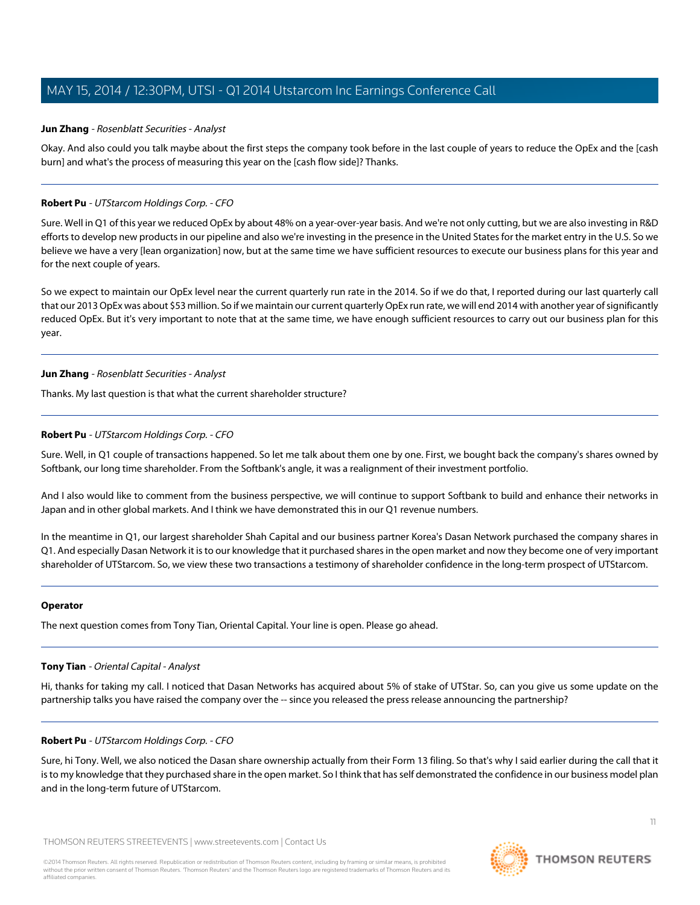# **Jun Zhang** - Rosenblatt Securities - Analyst

Okay. And also could you talk maybe about the first steps the company took before in the last couple of years to reduce the OpEx and the [cash burn] and what's the process of measuring this year on the [cash flow side]? Thanks.

## **Robert Pu** - UTStarcom Holdings Corp. - CFO

Sure. Well in Q1 of this year we reduced OpEx by about 48% on a year-over-year basis. And we're not only cutting, but we are also investing in R&D efforts to develop new products in our pipeline and also we're investing in the presence in the United States for the market entry in the U.S. So we believe we have a very [lean organization] now, but at the same time we have sufficient resources to execute our business plans for this year and for the next couple of years.

So we expect to maintain our OpEx level near the current quarterly run rate in the 2014. So if we do that, I reported during our last quarterly call that our 2013 OpEx was about \$53 million. So if we maintain our current quarterly OpEx run rate, we will end 2014 with another year of significantly reduced OpEx. But it's very important to note that at the same time, we have enough sufficient resources to carry out our business plan for this year.

#### **Jun Zhang** - Rosenblatt Securities - Analyst

Thanks. My last question is that what the current shareholder structure?

## **Robert Pu** - UTStarcom Holdings Corp. - CFO

Sure. Well, in Q1 couple of transactions happened. So let me talk about them one by one. First, we bought back the company's shares owned by Softbank, our long time shareholder. From the Softbank's angle, it was a realignment of their investment portfolio.

And I also would like to comment from the business perspective, we will continue to support Softbank to build and enhance their networks in Japan and in other global markets. And I think we have demonstrated this in our Q1 revenue numbers.

In the meantime in Q1, our largest shareholder Shah Capital and our business partner Korea's Dasan Network purchased the company shares in Q1. And especially Dasan Network it is to our knowledge that it purchased shares in the open market and now they become one of very important shareholder of UTStarcom. So, we view these two transactions a testimony of shareholder confidence in the long-term prospect of UTStarcom.

#### <span id="page-10-0"></span>**Operator**

The next question comes from Tony Tian, Oriental Capital. Your line is open. Please go ahead.

# **Tony Tian** - Oriental Capital - Analyst

Hi, thanks for taking my call. I noticed that Dasan Networks has acquired about 5% of stake of UTStar. So, can you give us some update on the partnership talks you have raised the company over the -- since you released the press release announcing the partnership?

# **Robert Pu** - UTStarcom Holdings Corp. - CFO

Sure, hi Tony. Well, we also noticed the Dasan share ownership actually from their Form 13 filing. So that's why I said earlier during the call that it is to my knowledge that they purchased share in the open market. So I think that has self demonstrated the confidence in our business model plan and in the long-term future of UTStarcom.

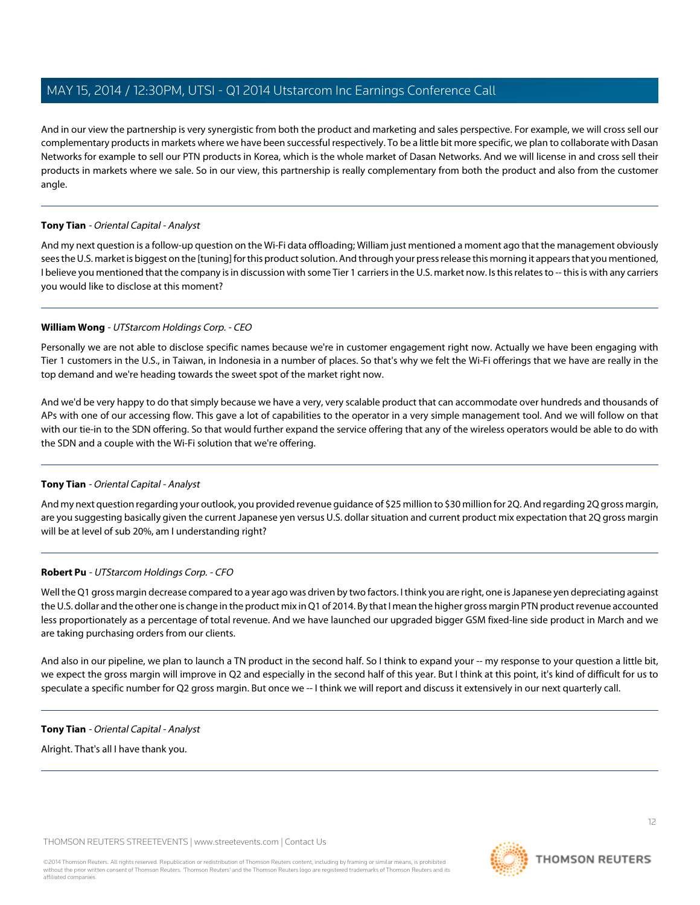And in our view the partnership is very synergistic from both the product and marketing and sales perspective. For example, we will cross sell our complementary products in markets where we have been successful respectively. To be a little bit more specific, we plan to collaborate with Dasan Networks for example to sell our PTN products in Korea, which is the whole market of Dasan Networks. And we will license in and cross sell their products in markets where we sale. So in our view, this partnership is really complementary from both the product and also from the customer angle.

# **Tony Tian** - Oriental Capital - Analyst

And my next question is a follow-up question on the Wi-Fi data offloading; William just mentioned a moment ago that the management obviously sees the U.S. market is biggest on the [tuning] for this product solution. And through your press release this morning it appears that you mentioned, I believe you mentioned that the company is in discussion with some Tier 1 carriers in the U.S. market now. Is this relates to -- this is with any carriers you would like to disclose at this moment?

# **William Wong** - UTStarcom Holdings Corp. - CEO

Personally we are not able to disclose specific names because we're in customer engagement right now. Actually we have been engaging with Tier 1 customers in the U.S., in Taiwan, in Indonesia in a number of places. So that's why we felt the Wi-Fi offerings that we have are really in the top demand and we're heading towards the sweet spot of the market right now.

And we'd be very happy to do that simply because we have a very, very scalable product that can accommodate over hundreds and thousands of APs with one of our accessing flow. This gave a lot of capabilities to the operator in a very simple management tool. And we will follow on that with our tie-in to the SDN offering. So that would further expand the service offering that any of the wireless operators would be able to do with the SDN and a couple with the Wi-Fi solution that we're offering.

# **Tony Tian** - Oriental Capital - Analyst

And my next question regarding your outlook, you provided revenue guidance of \$25 million to \$30 million for 2Q. And regarding 2Q gross margin, are you suggesting basically given the current Japanese yen versus U.S. dollar situation and current product mix expectation that 2Q gross margin will be at level of sub 20%, am I understanding right?

# **Robert Pu** - UTStarcom Holdings Corp. - CFO

Well the Q1 gross margin decrease compared to a year ago was driven by two factors. I think you are right, one is Japanese yen depreciating against the U.S. dollar and the other one is change in the product mix in Q1 of 2014. By that I mean the higher gross margin PTN product revenue accounted less proportionately as a percentage of total revenue. And we have launched our upgraded bigger GSM fixed-line side product in March and we are taking purchasing orders from our clients.

And also in our pipeline, we plan to launch a TN product in the second half. So I think to expand your -- my response to your question a little bit, we expect the gross margin will improve in Q2 and especially in the second half of this year. But I think at this point, it's kind of difficult for us to speculate a specific number for Q2 gross margin. But once we -- I think we will report and discuss it extensively in our next quarterly call.

# **Tony Tian** - Oriental Capital - Analyst

Alright. That's all I have thank you.



**THOMSON REUTERS**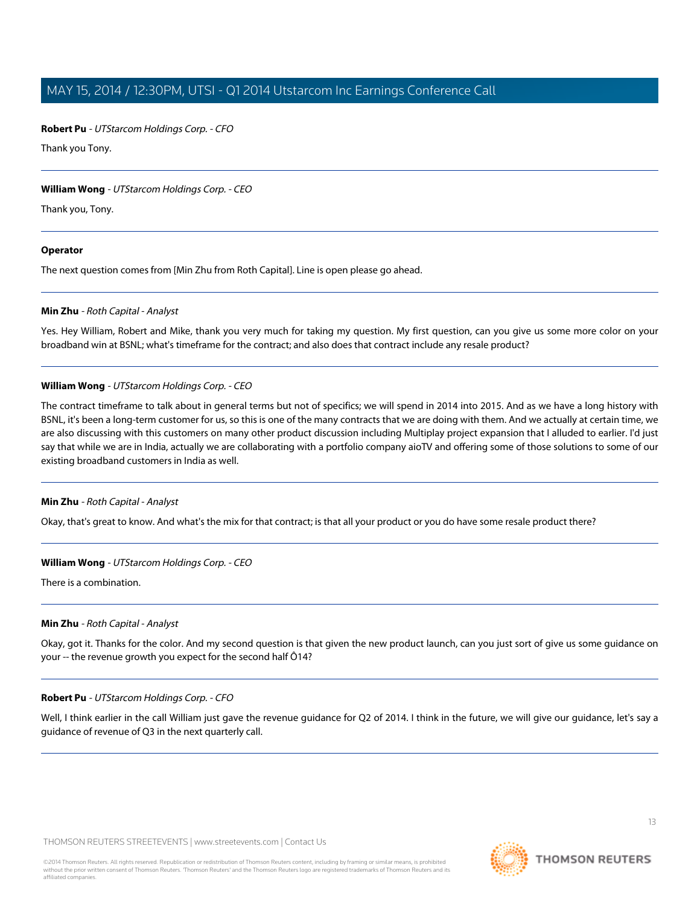## **Robert Pu** - UTStarcom Holdings Corp. - CFO

Thank you Tony.

## **William Wong** - UTStarcom Holdings Corp. - CEO

Thank you, Tony.

#### **Operator**

<span id="page-12-0"></span>The next question comes from [Min Zhu from Roth Capital]. Line is open please go ahead.

## **Min Zhu** - Roth Capital - Analyst

Yes. Hey William, Robert and Mike, thank you very much for taking my question. My first question, can you give us some more color on your broadband win at BSNL; what's timeframe for the contract; and also does that contract include any resale product?

## **William Wong** - UTStarcom Holdings Corp. - CEO

The contract timeframe to talk about in general terms but not of specifics; we will spend in 2014 into 2015. And as we have a long history with BSNL, it's been a long-term customer for us, so this is one of the many contracts that we are doing with them. And we actually at certain time, we are also discussing with this customers on many other product discussion including Multiplay project expansion that I alluded to earlier. I'd just say that while we are in India, actually we are collaborating with a portfolio company aioTV and offering some of those solutions to some of our existing broadband customers in India as well.

# **Min Zhu** - Roth Capital - Analyst

Okay, that's great to know. And what's the mix for that contract; is that all your product or you do have some resale product there?

# **William Wong** - UTStarcom Holdings Corp. - CEO

There is a combination.

#### **Min Zhu** - Roth Capital - Analyst

Okay, got it. Thanks for the color. And my second question is that given the new product launch, can you just sort of give us some guidance on your -- the revenue growth you expect for the second half Ô14?

#### **Robert Pu** - UTStarcom Holdings Corp. - CFO

Well, I think earlier in the call William just gave the revenue guidance for Q2 of 2014. I think in the future, we will give our guidance, let's say a guidance of revenue of Q3 in the next quarterly call.



**THOMSON REUTERS**